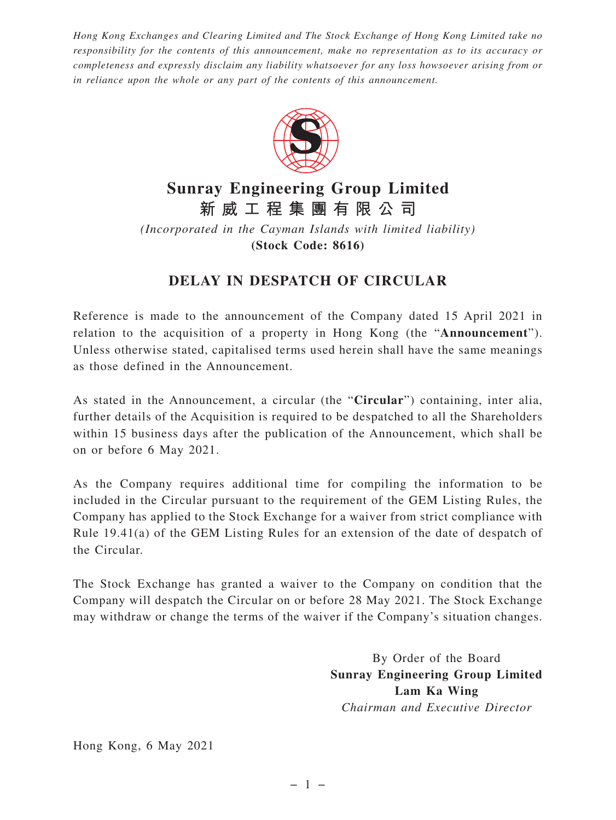*Hong Kong Exchanges and Clearing Limited and The Stock Exchange of Hong Kong Limited take no responsibility for the contents of this announcement, make no representation as to its accuracy or completeness and expressly disclaim any liability whatsoever for any loss howsoever arising from or in reliance upon the whole or any part of the contents of this announcement.*



## **Sunray Engineering Group Limited 新威工程集團有限公司**

*(Incorporated in the Cayman Islands with limited liability)* **(Stock Code: 8616)**

## **DELAY IN DESPATCH OF CIRCULAR**

Reference is made to the announcement of the Company dated 15 April 2021 in relation to the acquisition of a property in Hong Kong (the "**Announcement**"). Unless otherwise stated, capitalised terms used herein shall have the same meanings as those defined in the Announcement.

As stated in the Announcement, a circular (the "**Circular**") containing, inter alia, further details of the Acquisition is required to be despatched to all the Shareholders within 15 business days after the publication of the Announcement, which shall be on or before 6 May 2021.

As the Company requires additional time for compiling the information to be included in the Circular pursuant to the requirement of the GEM Listing Rules, the Company has applied to the Stock Exchange for a waiver from strict compliance with Rule 19.41(a) of the GEM Listing Rules for an extension of the date of despatch of the Circular.

The Stock Exchange has granted a waiver to the Company on condition that the Company will despatch the Circular on or before 28 May 2021. The Stock Exchange may withdraw or change the terms of the waiver if the Company's situation changes.

> By Order of the Board **Sunray Engineering Group Limited Lam Ka Wing** *Chairman and Executive Director*

Hong Kong, 6 May 2021